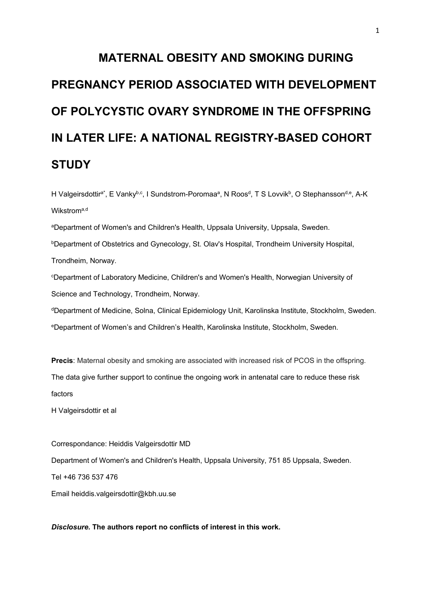# **MATERNAL OBESITY AND SMOKING DURING PREGNANCY PERIOD ASSOCIATED WITH DEVELOPMENT OF POLYCYSTIC OVARY SYNDROME IN THE OFFSPRING IN LATER LIFE: A NATIONAL REGISTRY-BASED COHORT STUDY**

H Valgeirsdottir<sup>a\*</sup>, E Vanky<sup>b,c</sup>, I Sundstrom-Poromaaª, N Roos<sup>d</sup>, T S Lovvik<sup>b</sup>, O Stephansson<sup>d,e</sup>, A-K Wikstrom<sup>a,d</sup>

aDepartment of Women's and Children's Health, Uppsala University, Uppsala, Sweden.

**bDepartment of Obstetrics and Gynecology, St. Olav's Hospital, Trondheim University Hospital,** Trondheim, Norway.

c Department of Laboratory Medicine, Children's and Women's Health, Norwegian University of Science and Technology, Trondheim, Norway.

dDepartment of Medicine, Solna, Clinical Epidemiology Unit, Karolinska Institute, Stockholm, Sweden.

eDepartment of Women's and Children's Health, Karolinska Institute, Stockholm, Sweden.

**Precis**: Maternal obesity and smoking are associated with increased risk of PCOS in the offspring. The data give further support to continue the ongoing work in antenatal care to reduce these risk factors

H Valgeirsdottir et al

Correspondance: Heiddis Valgeirsdottir MD Department of Women's and Children's Health, Uppsala University, 751 85 Uppsala, Sweden. Tel +46 736 537 476 Email heiddis.valgeirsdottir@kbh.uu.se

*Disclosure.* **The authors report no conflicts of interest in this work.**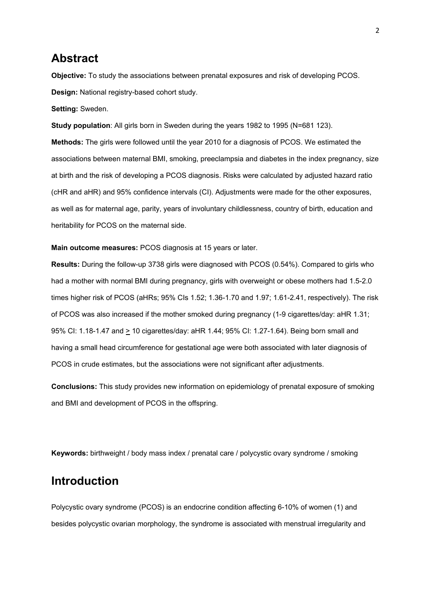# **Abstract**

**Objective:** To study the associations between prenatal exposures and risk of developing PCOS. **Design:** National registry-based cohort study.

**Setting:** Sweden.

**Study population**: All girls born in Sweden during the years 1982 to 1995 (N=681 123).

**Methods:** The girls were followed until the year 2010 for a diagnosis of PCOS. We estimated the associations between maternal BMI, smoking, preeclampsia and diabetes in the index pregnancy, size at birth and the risk of developing a PCOS diagnosis. Risks were calculated by adjusted hazard ratio (cHR and aHR) and 95% confidence intervals (CI). Adjustments were made for the other exposures, as well as for maternal age, parity, years of involuntary childlessness, country of birth, education and heritability for PCOS on the maternal side.

**Main outcome measures:** PCOS diagnosis at 15 years or later.

**Results:** During the follow-up 3738 girls were diagnosed with PCOS (0.54%). Compared to girls who had a mother with normal BMI during pregnancy, girls with overweight or obese mothers had 1.5-2.0 times higher risk of PCOS (aHRs; 95% CIs 1.52; 1.36-1.70 and 1.97; 1.61-2.41, respectively). The risk of PCOS was also increased if the mother smoked during pregnancy (1-9 cigarettes/day: aHR 1.31; 95% CI: 1.18-1.47 and > 10 cigarettes/day: aHR 1.44; 95% CI: 1.27-1.64). Being born small and having a small head circumference for gestational age were both associated with later diagnosis of PCOS in crude estimates, but the associations were not significant after adjustments.

**Conclusions:** This study provides new information on epidemiology of prenatal exposure of smoking and BMI and development of PCOS in the offspring.

**Keywords:** birthweight / body mass index / prenatal care / polycystic ovary syndrome / smoking

# **Introduction**

Polycystic ovary syndrome (PCOS) is an endocrine condition affecting 6-10% of women (1) and besides polycystic ovarian morphology, the syndrome is associated with menstrual irregularity and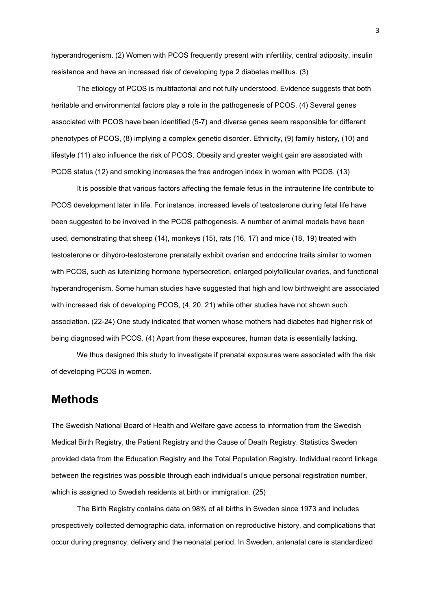hyperandrogenism. (2) Women with PCOS frequently present with infertility, central adiposity, insulin resistance and have an increased risk of developing type 2 diabetes mellitus. (3)

The etiology of PCOS is multifactorial and not fully understood. Evidence suggests that both heritable and environmental factors play a role in the pathogenesis of PCOS. (4) Several genes associated with PCOS have been identified (5-7) and diverse genes seem responsible for different phenotypes of PCOS, (8) implying a complex genetic disorder. Ethnicity, (9) family history, (10) and lifestyle (11) also influence the risk of PCOS. Obesity and greater weight gain are associated with PCOS status (12) and smoking increases the free androgen index in women with PCOS. (13)

It is possible that various factors affecting the female fetus in the intrauterine life contribute to PCOS development later in life. For instance, increased levels of testosterone during fetal life have been suggested to be involved in the PCOS pathogenesis. A number of animal models have been used, demonstrating that sheep (14), monkeys (15), rats (16, 17) and mice (18, 19) treated with testosterone or dihydro-testosterone prenatally exhibit ovarian and endocrine traits similar to women with PCOS, such as luteinizing hormone hypersecretion, enlarged polyfollicular ovaries, and functional hyperandrogenism. Some human studies have suggested that high and low birthweight are associated with increased risk of developing PCOS, (4, 20, 21) while other studies have not shown such association. (22-24) One study indicated that women whose mothers had diabetes had higher risk of being diagnosed with PCOS. (4) Apart from these exposures, human data is essentially lacking.

We thus designed this study to investigate if prenatal exposures were associated with the risk of developing PCOS in women.

## **Methods**

The Swedish National Board of Health and Welfare gave access to information from the Swedish Medical Birth Registry, the Patient Registry and the Cause of Death Registry. Statistics Sweden provided data from the Education Registry and the Total Population Registry. Individual record linkage between the registries was possible through each individual's unique personal registration number, which is assigned to Swedish residents at birth or immigration. (25)

The Birth Registry contains data on 98% of all births in Sweden since 1973 and includes prospectively collected demographic data, information on reproductive history, and complications that occur during pregnancy, delivery and the neonatal period. In Sweden, antenatal care is standardized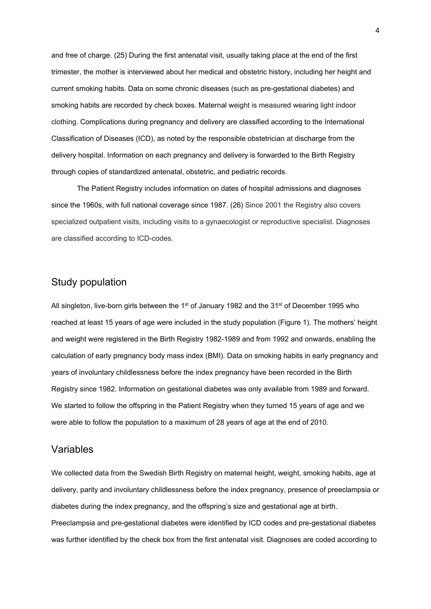and free of charge. (25) During the first antenatal visit, usually taking place at the end of the first trimester, the mother is interviewed about her medical and obstetric history, including her height and current smoking habits. Data on some chronic diseases (such as pre-gestational diabetes) and smoking habits are recorded by check boxes. Maternal weight is measured wearing light indoor clothing. Complications during pregnancy and delivery are classified according to the International Classification of Diseases (ICD), as noted by the responsible obstetrician at discharge from the delivery hospital. Information on each pregnancy and delivery is forwarded to the Birth Registry through copies of standardized antenatal, obstetric, and pediatric records.

The Patient Registry includes information on dates of hospital admissions and diagnoses since the 1960s, with full national coverage since 1987. (26) Since 2001 the Registry also covers specialized outpatient visits, including visits to a gynaecologist or reproductive specialist. Diagnoses are classified according to ICD-codes.

#### Study population

All singleton, live-born girls between the 1<sup>st</sup> of January 1982 and the 31<sup>st</sup> of December 1995 who reached at least 15 years of age were included in the study population (Figure 1). The mothers' height and weight were registered in the Birth Registry 1982-1989 and from 1992 and onwards, enabling the calculation of early pregnancy body mass index (BMI). Data on smoking habits in early pregnancy and years of involuntary childlessness before the index pregnancy have been recorded in the Birth Registry since 1982. Information on gestational diabetes was only available from 1989 and forward. We started to follow the offspring in the Patient Registry when they turned 15 years of age and we were able to follow the population to a maximum of 28 years of age at the end of 2010.

#### Variables

We collected data from the Swedish Birth Registry on maternal height, weight, smoking habits, age at delivery, parity and involuntary childlessness before the index pregnancy, presence of preeclampsia or diabetes during the index pregnancy, and the offspring's size and gestational age at birth. Preeclampsia and pre-gestational diabetes were identified by ICD codes and pre-gestational diabetes was further identified by the check box from the first antenatal visit. Diagnoses are coded according to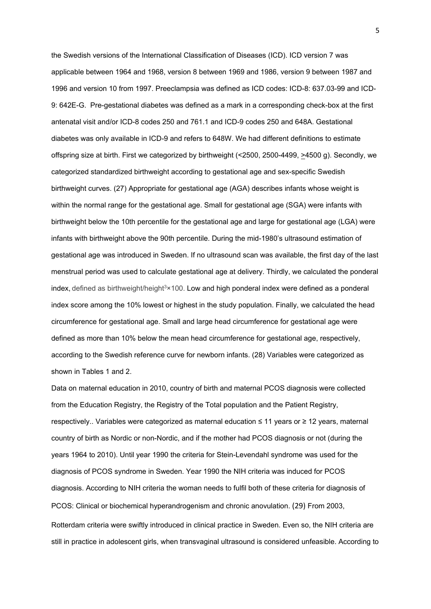the Swedish versions of the International Classification of Diseases (ICD). ICD version 7 was applicable between 1964 and 1968, version 8 between 1969 and 1986, version 9 between 1987 and 1996 and version 10 from 1997. Preeclampsia was defined as ICD codes: ICD-8: 637.03-99 and ICD-9: 642E-G. Pre-gestational diabetes was defined as a mark in a corresponding check-box at the first antenatal visit and/or ICD-8 codes 250 and 761.1 and ICD-9 codes 250 and 648A. Gestational diabetes was only available in ICD-9 and refers to 648W. We had different definitions to estimate offspring size at birth. First we categorized by birthweight (<2500, 2500-4499, >4500 g). Secondly, we categorized standardized birthweight according to gestational age and sex-specific Swedish birthweight curves. (27) Appropriate for gestational age (AGA) describes infants whose weight is within the normal range for the gestational age. Small for gestational age (SGA) were infants with birthweight below the 10th percentile for the gestational age and large for gestational age (LGA) were infants with birthweight above the 90th percentile. During the mid-1980's ultrasound estimation of gestational age was introduced in Sweden. If no ultrasound scan was available, the first day of the last menstrual period was used to calculate gestational age at delivery. Thirdly, we calculated the ponderal index, defined as birthweight/height $3\times100$ . Low and high ponderal index were defined as a ponderal index score among the 10% lowest or highest in the study population. Finally, we calculated the head circumference for gestational age. Small and large head circumference for gestational age were defined as more than 10% below the mean head circumference for gestational age, respectively, according to the Swedish reference curve for newborn infants. (28) Variables were categorized as shown in Tables 1 and 2.

Data on maternal education in 2010, country of birth and maternal PCOS diagnosis were collected from the Education Registry, the Registry of the Total population and the Patient Registry, respectively.. Variables were categorized as maternal education ≤ 11 years or ≥ 12 years, maternal country of birth as Nordic or non-Nordic, and if the mother had PCOS diagnosis or not (during the years 1964 to 2010). Until year 1990 the criteria for Stein-Levendahl syndrome was used for the diagnosis of PCOS syndrome in Sweden. Year 1990 the NIH criteria was induced for PCOS diagnosis. According to NIH criteria the woman needs to fulfil both of these criteria for diagnosis of PCOS: Clinical or biochemical hyperandrogenism and chronic anovulation. (29) From 2003, Rotterdam criteria were swiftly introduced in clinical practice in Sweden. Even so, the NIH criteria are still in practice in adolescent girls, when transvaginal ultrasound is considered unfeasible. According to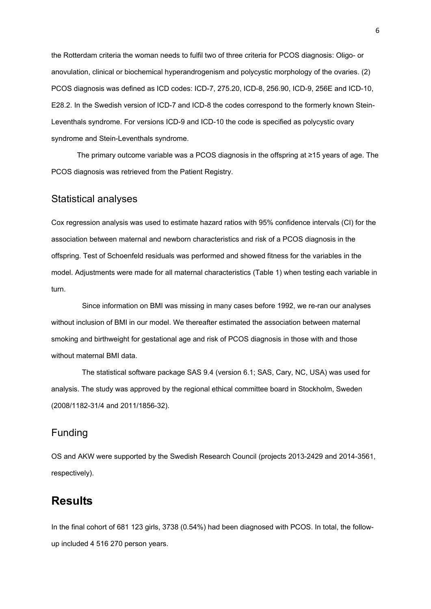the Rotterdam criteria the woman needs to fulfil two of three criteria for PCOS diagnosis: Oligo- or anovulation, clinical or biochemical hyperandrogenism and polycystic morphology of the ovaries. (2) PCOS diagnosis was defined as ICD codes: ICD-7, 275.20, ICD-8, 256.90, ICD-9, 256E and ICD-10, E28.2. In the Swedish version of ICD-7 and ICD-8 the codes correspond to the formerly known Stein-Leventhals syndrome. For versions ICD-9 and ICD-10 the code is specified as polycystic ovary syndrome and Stein-Leventhals syndrome.

The primary outcome variable was a PCOS diagnosis in the offspring at ≥15 years of age. The PCOS diagnosis was retrieved from the Patient Registry.

#### Statistical analyses

Cox regression analysis was used to estimate hazard ratios with 95% confidence intervals (CI) for the association between maternal and newborn characteristics and risk of a PCOS diagnosis in the offspring. Test of Schoenfeld residuals was performed and showed fitness for the variables in the model. Adjustments were made for all maternal characteristics (Table 1) when testing each variable in turn.

Since information on BMI was missing in many cases before 1992, we re-ran our analyses without inclusion of BMI in our model. We thereafter estimated the association between maternal smoking and birthweight for gestational age and risk of PCOS diagnosis in those with and those without maternal BMI data.

The statistical software package SAS 9.4 (version 6.1; SAS, Cary, NC, USA) was used for analysis. The study was approved by the regional ethical committee board in Stockholm, Sweden (2008/1182-31/4 and 2011/1856-32).

## Funding

OS and AKW were supported by the Swedish Research Council (projects 2013-2429 and 2014-3561, respectively).

# **Results**

In the final cohort of 681 123 girls, 3738 (0.54%) had been diagnosed with PCOS. In total, the followup included 4 516 270 person years.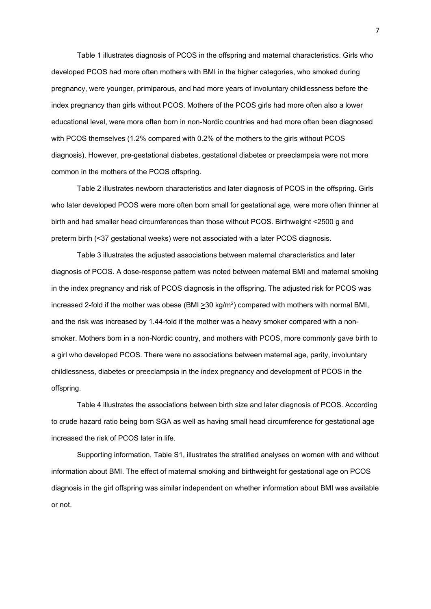Table 1 illustrates diagnosis of PCOS in the offspring and maternal characteristics. Girls who developed PCOS had more often mothers with BMI in the higher categories, who smoked during pregnancy, were younger, primiparous, and had more years of involuntary childlessness before the index pregnancy than girls without PCOS. Mothers of the PCOS girls had more often also a lower educational level, were more often born in non-Nordic countries and had more often been diagnosed with PCOS themselves (1.2% compared with 0.2% of the mothers to the girls without PCOS diagnosis). However, pre-gestational diabetes, gestational diabetes or preeclampsia were not more common in the mothers of the PCOS offspring.

Table 2 illustrates newborn characteristics and later diagnosis of PCOS in the offspring. Girls who later developed PCOS were more often born small for gestational age, were more often thinner at birth and had smaller head circumferences than those without PCOS. Birthweight <2500 g and preterm birth (<37 gestational weeks) were not associated with a later PCOS diagnosis.

Table 3 illustrates the adjusted associations between maternal characteristics and later diagnosis of PCOS. A dose-response pattern was noted between maternal BMI and maternal smoking in the index pregnancy and risk of PCOS diagnosis in the offspring. The adjusted risk for PCOS was increased 2-fold if the mother was obese (BMI > 30 kg/m<sup>2</sup>) compared with mothers with normal BMI, and the risk was increased by 1.44-fold if the mother was a heavy smoker compared with a nonsmoker. Mothers born in a non-Nordic country, and mothers with PCOS, more commonly gave birth to a girl who developed PCOS. There were no associations between maternal age, parity, involuntary childlessness, diabetes or preeclampsia in the index pregnancy and development of PCOS in the offspring.

Table 4 illustrates the associations between birth size and later diagnosis of PCOS. According to crude hazard ratio being born SGA as well as having small head circumference for gestational age increased the risk of PCOS later in life.

Supporting information, Table S1, illustrates the stratified analyses on women with and without information about BMI. The effect of maternal smoking and birthweight for gestational age on PCOS diagnosis in the girl offspring was similar independent on whether information about BMI was available or not.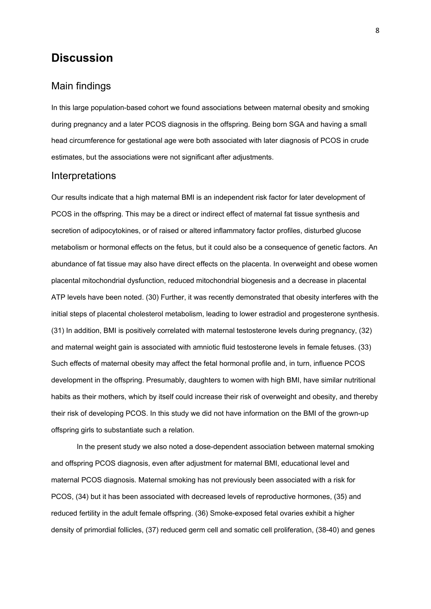# **Discussion**

#### Main findings

In this large population-based cohort we found associations between maternal obesity and smoking during pregnancy and a later PCOS diagnosis in the offspring. Being born SGA and having a small head circumference for gestational age were both associated with later diagnosis of PCOS in crude estimates, but the associations were not significant after adjustments.

#### Interpretations

Our results indicate that a high maternal BMI is an independent risk factor for later development of PCOS in the offspring. This may be a direct or indirect effect of maternal fat tissue synthesis and secretion of adipocytokines, or of raised or altered inflammatory factor profiles, disturbed glucose metabolism or hormonal effects on the fetus, but it could also be a consequence of genetic factors. An abundance of fat tissue may also have direct effects on the placenta. In overweight and obese women placental mitochondrial dysfunction, reduced mitochondrial biogenesis and a decrease in placental ATP levels have been noted. (30) Further, it was recently demonstrated that obesity interferes with the initial steps of placental cholesterol metabolism, leading to lower estradiol and progesterone synthesis. (31) In addition, BMI is positively correlated with maternal testosterone levels during pregnancy, (32) and maternal weight gain is associated with amniotic fluid testosterone levels in female fetuses. (33) Such effects of maternal obesity may affect the fetal hormonal profile and, in turn, influence PCOS development in the offspring. Presumably, daughters to women with high BMI, have similar nutritional habits as their mothers, which by itself could increase their risk of overweight and obesity, and thereby their risk of developing PCOS. In this study we did not have information on the BMI of the grown-up offspring girls to substantiate such a relation.

In the present study we also noted a dose-dependent association between maternal smoking and offspring PCOS diagnosis, even after adjustment for maternal BMI, educational level and maternal PCOS diagnosis. Maternal smoking has not previously been associated with a risk for PCOS, (34) but it has been associated with decreased levels of reproductive hormones, (35) and reduced fertility in the adult female offspring. (36) Smoke-exposed fetal ovaries exhibit a higher density of primordial follicles, (37) reduced germ cell and somatic cell proliferation, (38-40) and genes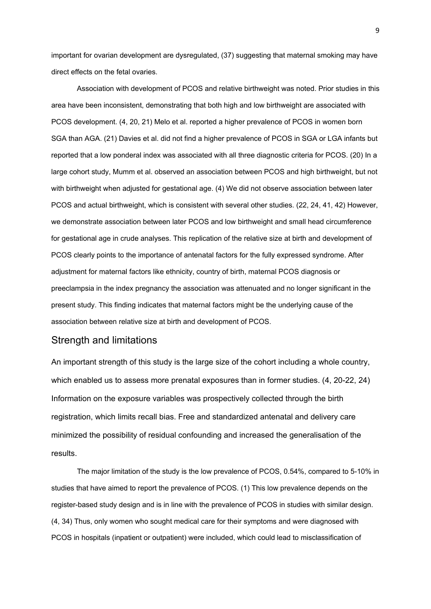important for ovarian development are dysregulated, (37) suggesting that maternal smoking may have direct effects on the fetal ovaries.

Association with development of PCOS and relative birthweight was noted. Prior studies in this area have been inconsistent, demonstrating that both high and low birthweight are associated with PCOS development. (4, 20, 21) Melo et al. reported a higher prevalence of PCOS in women born SGA than AGA. (21) Davies et al. did not find a higher prevalence of PCOS in SGA or LGA infants but reported that a low ponderal index was associated with all three diagnostic criteria for PCOS. (20) In a large cohort study, Mumm et al. observed an association between PCOS and high birthweight, but not with birthweight when adjusted for gestational age. (4) We did not observe association between later PCOS and actual birthweight, which is consistent with several other studies. (22, 24, 41, 42) However, we demonstrate association between later PCOS and low birthweight and small head circumference for gestational age in crude analyses. This replication of the relative size at birth and development of PCOS clearly points to the importance of antenatal factors for the fully expressed syndrome. After adjustment for maternal factors like ethnicity, country of birth, maternal PCOS diagnosis or preeclampsia in the index pregnancy the association was attenuated and no longer significant in the present study. This finding indicates that maternal factors might be the underlying cause of the association between relative size at birth and development of PCOS.

#### Strength and limitations

An important strength of this study is the large size of the cohort including a whole country, which enabled us to assess more prenatal exposures than in former studies. (4, 20-22, 24) Information on the exposure variables was prospectively collected through the birth registration, which limits recall bias. Free and standardized antenatal and delivery care minimized the possibility of residual confounding and increased the generalisation of the results.

The major limitation of the study is the low prevalence of PCOS, 0.54%, compared to 5-10% in studies that have aimed to report the prevalence of PCOS. (1) This low prevalence depends on the register-based study design and is in line with the prevalence of PCOS in studies with similar design. (4, 34) Thus, only women who sought medical care for their symptoms and were diagnosed with PCOS in hospitals (inpatient or outpatient) were included, which could lead to misclassification of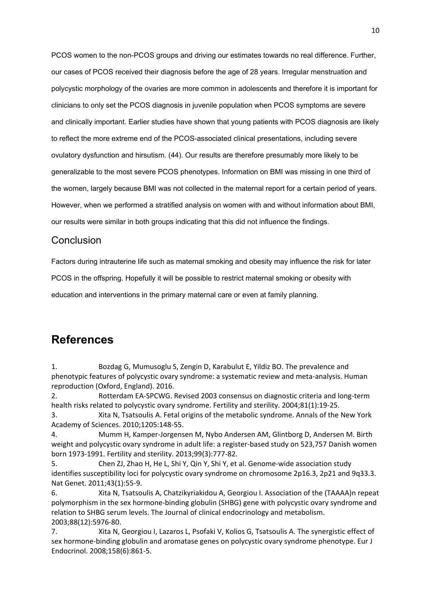PCOS women to the non-PCOS groups and driving our estimates towards no real difference. Further, our cases of PCOS received their diagnosis before the age of 28 years. Irregular menstruation and polycystic morphology of the ovaries are more common in adolescents and therefore it is important for clinicians to only set the PCOS diagnosis in juvenile population when PCOS symptoms are severe and clinically important. Earlier studies have shown that young patients with PCOS diagnosis are likely to reflect the more extreme end of the PCOS-associated clinical presentations, including severe ovulatory dysfunction and hirsutism. (44). Our results are therefore presumably more likely to be generalizable to the most severe PCOS phenotypes. Information on BMI was missing in one third of the women, largely because BMI was not collected in the maternal report for a certain period of years. However, when we performed a stratified analysis on women with and without information about BMI, our results were similar in both groups indicating that this did not influence the findings.

#### **Conclusion**

Factors during intrauterine life such as maternal smoking and obesity may influence the risk for later

PCOS in the offspring. Hopefully it will be possible to restrict maternal smoking or obesity with

education and interventions in the primary maternal care or even at family planning.

# **References**

1. Bozdag G, Mumusoglu S, Zengin D, Karabulut E, Yildiz BO. The prevalence and phenotypic features of polycystic ovary syndrome: a systematic review and meta-analysis. Human reproduction (Oxford, England). 2016.

2. Rotterdam EA-SPCWG. Revised 2003 consensus on diagnostic criteria and long-term health risks related to polycystic ovary syndrome. Fertility and sterility. 2004;81(1):19-25.

3. Xita N, Tsatsoulis A. Fetal origins of the metabolic syndrome. Annals of the New York Academy of Sciences. 2010;1205:148-55.

4. Mumm H, Kamper-Jorgensen M, Nybo Andersen AM, Glintborg D, Andersen M. Birth weight and polycystic ovary syndrome in adult life: a register-based study on 523,757 Danish women born 1973-1991. Fertility and sterility. 2013;99(3):777-82.

5. Chen ZJ, Zhao H, He L, Shi Y, Qin Y, Shi Y, et al. Genome-wide association study identifies susceptibility loci for polycystic ovary syndrome on chromosome 2p16.3, 2p21 and 9q33.3. Nat Genet. 2011;43(1):55-9.

6. Xita N, Tsatsoulis A, Chatzikyriakidou A, Georgiou I. Association of the (TAAAA)n repeat polymorphism in the sex hormone-binding globulin (SHBG) gene with polycystic ovary syndrome and relation to SHBG serum levels. The Journal of clinical endocrinology and metabolism. 2003;88(12):5976-80.

7. Xita N, Georgiou I, Lazaros L, Psofaki V, Kolios G, Tsatsoulis A. The synergistic effect of sex hormone-binding globulin and aromatase genes on polycystic ovary syndrome phenotype. Eur J Endocrinol. 2008;158(6):861-5.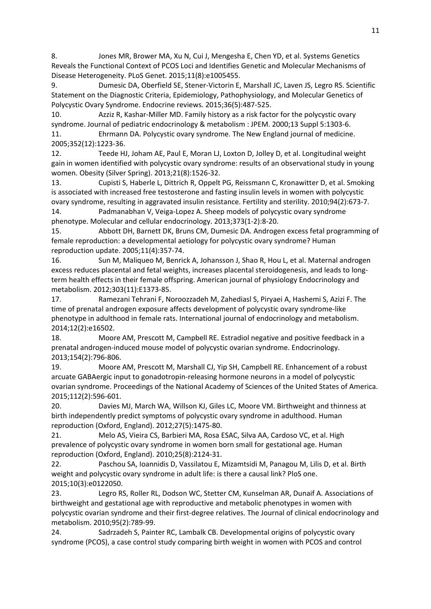8. Jones MR, Brower MA, Xu N, Cui J, Mengesha E, Chen YD, et al. Systems Genetics Reveals the Functional Context of PCOS Loci and Identifies Genetic and Molecular Mechanisms of Disease Heterogeneity. PLoS Genet. 2015;11(8):e1005455.

9. Dumesic DA, Oberfield SE, Stener-Victorin E, Marshall JC, Laven JS, Legro RS. Scientific Statement on the Diagnostic Criteria, Epidemiology, Pathophysiology, and Molecular Genetics of Polycystic Ovary Syndrome. Endocrine reviews. 2015;36(5):487-525.

10. Azziz R, Kashar-Miller MD. Family history as a risk factor for the polycystic ovary syndrome. Journal of pediatric endocrinology & metabolism : JPEM. 2000;13 Suppl 5:1303-6. 11. Ehrmann DA. Polycystic ovary syndrome. The New England journal of medicine. 2005;352(12):1223-36.

12. Teede HJ, Joham AE, Paul E, Moran LJ, Loxton D, Jolley D, et al. Longitudinal weight gain in women identified with polycystic ovary syndrome: results of an observational study in young women. Obesity (Silver Spring). 2013;21(8):1526-32.

13. Cupisti S, Haberle L, Dittrich R, Oppelt PG, Reissmann C, Kronawitter D, et al. Smoking is associated with increased free testosterone and fasting insulin levels in women with polycystic ovary syndrome, resulting in aggravated insulin resistance. Fertility and sterility. 2010;94(2):673-7.

14. Padmanabhan V, Veiga-Lopez A. Sheep models of polycystic ovary syndrome phenotype. Molecular and cellular endocrinology. 2013;373(1-2):8-20.

15. Abbott DH, Barnett DK, Bruns CM, Dumesic DA. Androgen excess fetal programming of female reproduction: a developmental aetiology for polycystic ovary syndrome? Human reproduction update. 2005;11(4):357-74.

16. Sun M, Maliqueo M, Benrick A, Johansson J, Shao R, Hou L, et al. Maternal androgen excess reduces placental and fetal weights, increases placental steroidogenesis, and leads to longterm health effects in their female offspring. American journal of physiology Endocrinology and metabolism. 2012;303(11):E1373-85.

17. Ramezani Tehrani F, Noroozzadeh M, Zahediasl S, Piryaei A, Hashemi S, Azizi F. The time of prenatal androgen exposure affects development of polycystic ovary syndrome-like phenotype in adulthood in female rats. International journal of endocrinology and metabolism. 2014;12(2):e16502.

18. Moore AM, Prescott M, Campbell RE. Estradiol negative and positive feedback in a prenatal androgen-induced mouse model of polycystic ovarian syndrome. Endocrinology. 2013;154(2):796-806.

19. Moore AM, Prescott M, Marshall CJ, Yip SH, Campbell RE. Enhancement of a robust arcuate GABAergic input to gonadotropin-releasing hormone neurons in a model of polycystic ovarian syndrome. Proceedings of the National Academy of Sciences of the United States of America. 2015;112(2):596-601.

20. Davies MJ, March WA, Willson KJ, Giles LC, Moore VM. Birthweight and thinness at birth independently predict symptoms of polycystic ovary syndrome in adulthood. Human reproduction (Oxford, England). 2012;27(5):1475-80.

21. Melo AS, Vieira CS, Barbieri MA, Rosa ESAC, Silva AA, Cardoso VC, et al. High prevalence of polycystic ovary syndrome in women born small for gestational age. Human reproduction (Oxford, England). 2010;25(8):2124-31.

22. Paschou SA, Ioannidis D, Vassilatou E, Mizamtsidi M, Panagou M, Lilis D, et al. Birth weight and polycystic ovary syndrome in adult life: is there a causal link? PloS one. 2015;10(3):e0122050.

23. Legro RS, Roller RL, Dodson WC, Stetter CM, Kunselman AR, Dunaif A. Associations of birthweight and gestational age with reproductive and metabolic phenotypes in women with polycystic ovarian syndrome and their first-degree relatives. The Journal of clinical endocrinology and metabolism. 2010;95(2):789-99.

24. Sadrzadeh S, Painter RC, Lambalk CB. Developmental origins of polycystic ovary syndrome (PCOS), a case control study comparing birth weight in women with PCOS and control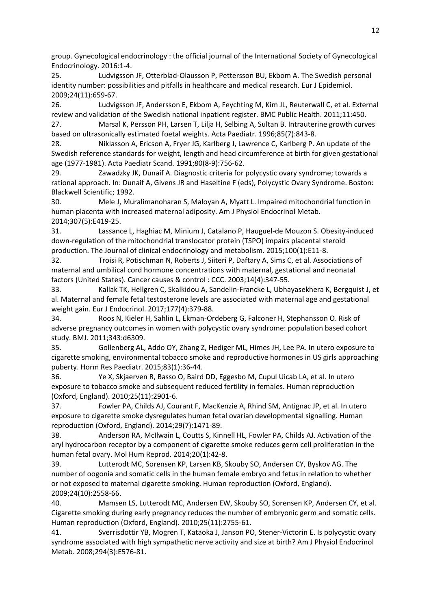group. Gynecological endocrinology : the official journal of the International Society of Gynecological Endocrinology. 2016:1-4.

25. Ludvigsson JF, Otterblad-Olausson P, Pettersson BU, Ekbom A. The Swedish personal identity number: possibilities and pitfalls in healthcare and medical research. Eur J Epidemiol. 2009;24(11):659-67.

26. Ludvigsson JF, Andersson E, Ekbom A, Feychting M, Kim JL, Reuterwall C, et al. External review and validation of the Swedish national inpatient register. BMC Public Health. 2011;11:450.

27. Marsal K, Persson PH, Larsen T, Lilja H, Selbing A, Sultan B. Intrauterine growth curves based on ultrasonically estimated foetal weights. Acta Paediatr. 1996;85(7):843-8.

28. Niklasson A, Ericson A, Fryer JG, Karlberg J, Lawrence C, Karlberg P. An update of the Swedish reference standards for weight, length and head circumference at birth for given gestational age (1977-1981). Acta Paediatr Scand. 1991;80(8-9):756-62.

29. Zawadzky JK, Dunaif A. Diagnostic criteria for polycystic ovary syndrome; towards a rational approach. In: Dunaif A, Givens JR and Haseltine F (eds), Polycystic Ovary Syndrome. Boston: Blackwell Scientific; 1992.

30. Mele J, Muralimanoharan S, Maloyan A, Myatt L. Impaired mitochondrial function in human placenta with increased maternal adiposity. Am J Physiol Endocrinol Metab. 2014;307(5):E419-25.

31. Lassance L, Haghiac M, Minium J, Catalano P, Hauguel-de Mouzon S. Obesity-induced down-regulation of the mitochondrial translocator protein (TSPO) impairs placental steroid production. The Journal of clinical endocrinology and metabolism. 2015;100(1):E11-8.

32. Troisi R, Potischman N, Roberts J, Siiteri P, Daftary A, Sims C, et al. Associations of maternal and umbilical cord hormone concentrations with maternal, gestational and neonatal factors (United States). Cancer causes & control : CCC. 2003;14(4):347-55.

33. Kallak TK, Hellgren C, Skalkidou A, Sandelin-Francke L, Ubhayasekhera K, Bergquist J, et al. Maternal and female fetal testosterone levels are associated with maternal age and gestational weight gain. Eur J Endocrinol. 2017;177(4):379-88.

34. Roos N, Kieler H, Sahlin L, Ekman-Ordeberg G, Falconer H, Stephansson O. Risk of adverse pregnancy outcomes in women with polycystic ovary syndrome: population based cohort study. BMJ. 2011;343:d6309.

35. Gollenberg AL, Addo OY, Zhang Z, Hediger ML, Himes JH, Lee PA. In utero exposure to cigarette smoking, environmental tobacco smoke and reproductive hormones in US girls approaching puberty. Horm Res Paediatr. 2015;83(1):36-44.

36. Ye X, Skjaerven R, Basso O, Baird DD, Eggesbo M, Cupul Uicab LA, et al. In utero exposure to tobacco smoke and subsequent reduced fertility in females. Human reproduction (Oxford, England). 2010;25(11):2901-6.

37. Fowler PA, Childs AJ, Courant F, MacKenzie A, Rhind SM, Antignac JP, et al. In utero exposure to cigarette smoke dysregulates human fetal ovarian developmental signalling. Human reproduction (Oxford, England). 2014;29(7):1471-89.

38. Anderson RA, McIlwain L, Coutts S, Kinnell HL, Fowler PA, Childs AJ. Activation of the aryl hydrocarbon receptor by a component of cigarette smoke reduces germ cell proliferation in the human fetal ovary. Mol Hum Reprod. 2014;20(1):42-8.

39. Lutterodt MC, Sorensen KP, Larsen KB, Skouby SO, Andersen CY, Byskov AG. The number of oogonia and somatic cells in the human female embryo and fetus in relation to whether or not exposed to maternal cigarette smoking. Human reproduction (Oxford, England). 2009;24(10):2558-66.

40. Mamsen LS, Lutterodt MC, Andersen EW, Skouby SO, Sorensen KP, Andersen CY, et al. Cigarette smoking during early pregnancy reduces the number of embryonic germ and somatic cells. Human reproduction (Oxford, England). 2010;25(11):2755-61.

41. Sverrisdottir YB, Mogren T, Kataoka J, Janson PO, Stener-Victorin E. Is polycystic ovary syndrome associated with high sympathetic nerve activity and size at birth? Am J Physiol Endocrinol Metab. 2008;294(3):E576-81.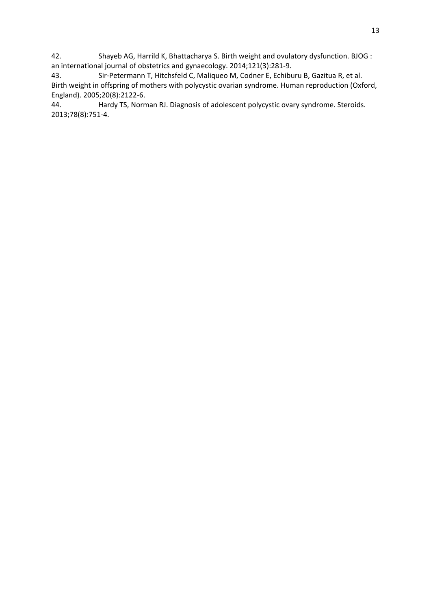42. Shayeb AG, Harrild K, Bhattacharya S. Birth weight and ovulatory dysfunction. BJOG : an international journal of obstetrics and gynaecology. 2014;121(3):281-9.

43. Sir-Petermann T, Hitchsfeld C, Maliqueo M, Codner E, Echiburu B, Gazitua R, et al. Birth weight in offspring of mothers with polycystic ovarian syndrome. Human reproduction (Oxford, England). 2005;20(8):2122-6.

44. Hardy TS, Norman RJ. Diagnosis of adolescent polycystic ovary syndrome. Steroids. 2013;78(8):751-4.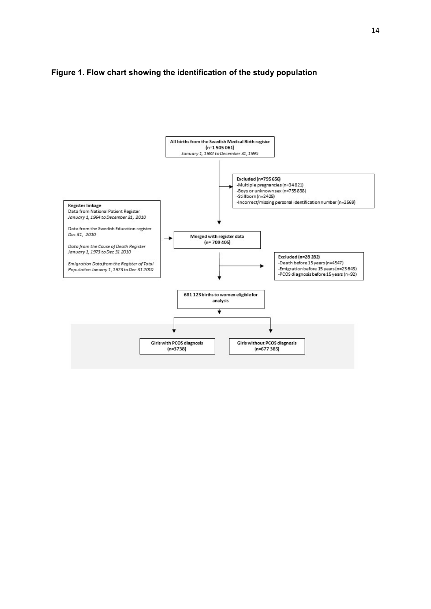#### **Figure 1. Flow chart showing the identification of the study population**

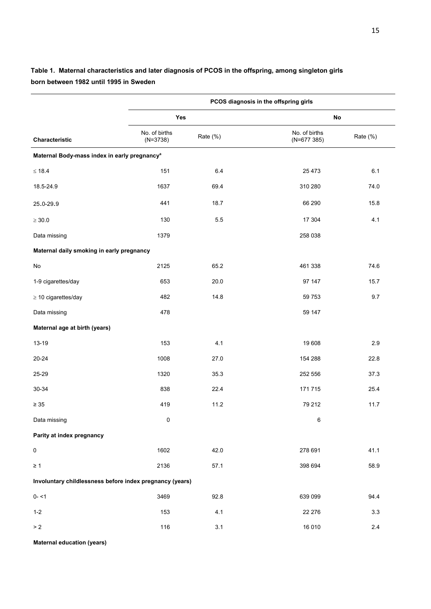|                                                          | PCOS diagnosis in the offspring girls |          |                               |          |  |  |
|----------------------------------------------------------|---------------------------------------|----------|-------------------------------|----------|--|--|
|                                                          | Yes                                   |          | No                            |          |  |  |
| Characteristic                                           | No. of births<br>$(N=3738)$           | Rate (%) | No. of births<br>$(N=677385)$ | Rate (%) |  |  |
| Maternal Body-mass index in early pregnancy <sup>a</sup> |                                       |          |                               |          |  |  |
| $\leq 18.4$                                              | 151                                   | 6.4      | 25 4 73                       | 6.1      |  |  |
| 18.5-24.9                                                | 1637                                  | 69.4     | 310 280                       | 74.0     |  |  |
| 25.0-29.9                                                | 441                                   | 18.7     | 66 290                        | 15.8     |  |  |
| $\geq 30.0$                                              | 130                                   | 5.5      | 17 304                        | 4.1      |  |  |
| Data missing                                             | 1379                                  |          | 258 038                       |          |  |  |
| Maternal daily smoking in early pregnancy                |                                       |          |                               |          |  |  |
| No                                                       | 2125                                  | 65.2     | 461 338                       | 74.6     |  |  |
| 1-9 cigarettes/day                                       | 653                                   | 20.0     | 97 147                        | 15.7     |  |  |
| $\geq$ 10 cigarettes/day                                 | 482                                   | 14.8     | 59 7 53                       | 9.7      |  |  |
| Data missing                                             | 478                                   |          | 59 147                        |          |  |  |
| Maternal age at birth (years)                            |                                       |          |                               |          |  |  |
| 13-19                                                    | 153                                   | 4.1      | 19 608                        | 2.9      |  |  |
| 20-24                                                    | 1008                                  | 27.0     | 154 288                       | 22.8     |  |  |
| 25-29                                                    | 1320                                  | 35.3     | 252 556                       | 37.3     |  |  |
| 30-34                                                    | 838                                   | 22.4     | 171715                        | 25.4     |  |  |
| $\geq 35$                                                | 419                                   | 11.2     | 79 212                        | 11.7     |  |  |
| Data missing                                             | 0                                     |          | 6                             |          |  |  |
| Parity at index pregnancy                                |                                       |          |                               |          |  |  |
| $\pmb{0}$                                                | 1602                                  | 42.0     | 278 691                       | 41.1     |  |  |
| $\geq 1$                                                 | 2136                                  | 57.1     | 398 694                       | 58.9     |  |  |
| Involuntary childlessness before index pregnancy (years) |                                       |          |                               |          |  |  |
| $0 - 1$                                                  | 3469                                  | 92.8     | 639 099                       | 94.4     |  |  |
| $1 - 2$                                                  | 153                                   | 4.1      | 22 276                        | $3.3\,$  |  |  |
| $>2$                                                     | 116                                   | 3.1      | 16 010                        | $2.4\,$  |  |  |

## **Table 1. Maternal characteristics and later diagnosis of PCOS in the offspring, among singleton girls born between 1982 until 1995 in Sweden**

**Maternal education (years)**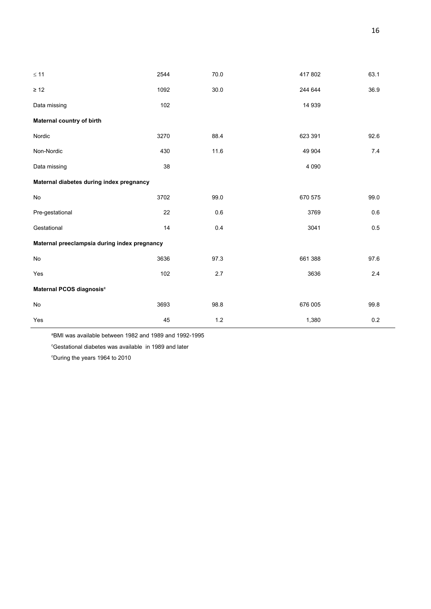| $\leq 11$                                    | 2544 | 70.0  | 417 802 | 63.1 |  |  |
|----------------------------------------------|------|-------|---------|------|--|--|
| $\geq 12$                                    | 1092 | 30.0  | 244 644 | 36.9 |  |  |
| Data missing                                 | 102  |       | 14 939  |      |  |  |
| Maternal country of birth                    |      |       |         |      |  |  |
| Nordic                                       | 3270 | 88.4  | 623 391 | 92.6 |  |  |
| Non-Nordic                                   | 430  | 11.6  | 49 904  | 7.4  |  |  |
| Data missing                                 | 38   |       | 4 0 9 0 |      |  |  |
| Maternal diabetes during index pregnancy     |      |       |         |      |  |  |
| No                                           | 3702 | 99.0  | 670 575 | 99.0 |  |  |
| Pre-gestational                              | 22   | 0.6   | 3769    | 0.6  |  |  |
| Gestational                                  | 14   | 0.4   | 3041    | 0.5  |  |  |
| Maternal preeclampsia during index pregnancy |      |       |         |      |  |  |
| No                                           | 3636 | 97.3  | 661 388 | 97.6 |  |  |
| Yes                                          | 102  | 2.7   | 3636    | 2.4  |  |  |
| Maternal PCOS diagnosis <sup>c</sup>         |      |       |         |      |  |  |
| $\mathsf{No}$                                | 3693 | 98.8  | 676 005 | 99.8 |  |  |
| Yes                                          | 45   | $1.2$ | 1,380   | 0.2  |  |  |

a BMI was available between 1982 and 1989 and 1992-1995

c Gestational diabetes was available in 1989 and later

c During the years 1964 to 2010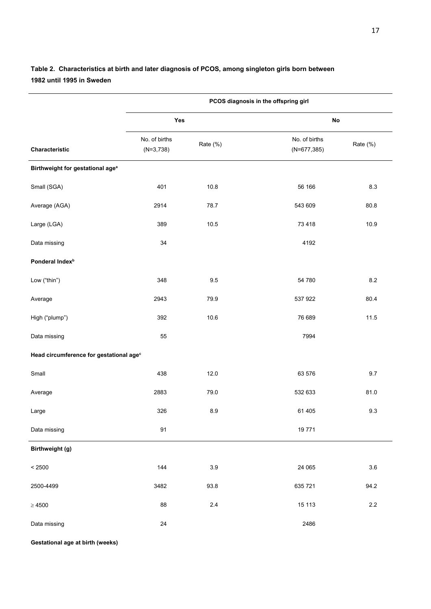|                                                     |                              | PCOS diagnosis in the offspring girl |                                 |          |  |  |
|-----------------------------------------------------|------------------------------|--------------------------------------|---------------------------------|----------|--|--|
|                                                     |                              | Yes                                  |                                 | No       |  |  |
| Characteristic                                      | No. of births<br>$(N=3,738)$ | Rate (%)                             | No. of births<br>$(N=677, 385)$ | Rate (%) |  |  |
| Birthweight for gestational age <sup>a</sup>        |                              |                                      |                                 |          |  |  |
| Small (SGA)                                         | 401                          | 10.8                                 | 56 166                          | 8.3      |  |  |
| Average (AGA)                                       | 2914                         | 78.7                                 | 543 609                         | 80.8     |  |  |
| Large (LGA)                                         | 389                          | 10.5                                 | 73 418                          | 10.9     |  |  |
| Data missing                                        | 34                           |                                      | 4192                            |          |  |  |
| Ponderal Index <sup>b</sup>                         |                              |                                      |                                 |          |  |  |
| Low ("thin")                                        | 348                          | 9.5                                  | 54 780                          | 8.2      |  |  |
| Average                                             | 2943                         | 79.9                                 | 537 922                         | 80.4     |  |  |
| High ("plump")                                      | 392                          | 10.6                                 | 76 689                          | 11.5     |  |  |
| Data missing                                        | 55                           |                                      | 7994                            |          |  |  |
| Head circumference for gestational age <sup>c</sup> |                              |                                      |                                 |          |  |  |
| Small                                               | 438                          | 12.0                                 | 63 576                          | 9.7      |  |  |
| Average                                             | 2883                         | 79.0                                 | 532 633                         | 81.0     |  |  |
| Large                                               | 326                          | 8.9                                  | 61 405                          | 9.3      |  |  |
| Data missing                                        | 91                           |                                      | 19771                           |          |  |  |
| Birthweight (g)                                     |                              |                                      |                                 |          |  |  |
| < 2500                                              | 144                          | 3.9                                  | 24 065                          | 3.6      |  |  |
| 2500-4499                                           | 3482                         | 93.8                                 | 635 721                         | 94.2     |  |  |
| $\geq 4500$                                         | 88                           | $2.4\,$                              | 15 113                          | $2.2\,$  |  |  |
| Data missing                                        | 24                           |                                      | 2486                            |          |  |  |

## **Table 2. Characteristics at birth and later diagnosis of PCOS, among singleton girls born between 1982 until 1995 in Sweden**

**Gestational age at birth (weeks)**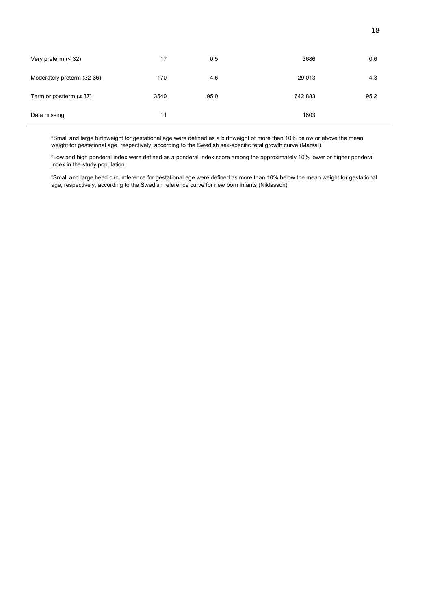| Very preterm $($ < 32 $)$     | 17   | 0.5  | 3686    | 0.6  |
|-------------------------------|------|------|---------|------|
| Moderately preterm (32-36)    | 170  | 4.6  | 29 013  | 4.3  |
| Term or postterm ( $\geq$ 37) | 3540 | 95.0 | 642 883 | 95.2 |
| Data missing                  | 11   |      | 1803    |      |

a Small and large birthweight for gestational age were defined as a birthweight of more than 10% below or above the mean weight for gestational age, respectively, according to the Swedish sex-specific fetal growth curve (Marsal)

b Low and high ponderal index were defined as a ponderal index score among the approximately 10% lower or higher ponderal index in the study population

c Small and large head circumference for gestational age were defined as more than 10% below the mean weight for gestational age, respectively, according to the Swedish reference curve for new born infants (Niklasson)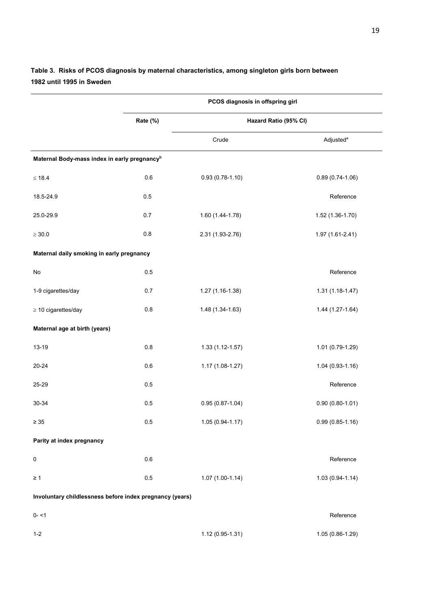|                                                          |          | PCOS diagnosis in offspring girl |                       |
|----------------------------------------------------------|----------|----------------------------------|-----------------------|
|                                                          | Rate (%) | Hazard Ratio (95% CI)            |                       |
|                                                          |          | Crude                            | Adjusted <sup>a</sup> |
| Maternal Body-mass index in early pregnancy <sup>b</sup> |          |                                  |                       |
| $\leq 18.4$                                              | $0.6\,$  | $0.93(0.78-1.10)$                | $0.89(0.74-1.06)$     |
| 18.5-24.9                                                | $0.5\,$  |                                  | Reference             |
| 25.0-29.9                                                | 0.7      | 1.60 (1.44-1.78)                 | 1.52 (1.36-1.70)      |
| $\geq 30.0$                                              | $0.8\,$  | 2.31 (1.93-2.76)                 | 1.97 (1.61-2.41)      |
| Maternal daily smoking in early pregnancy                |          |                                  |                       |
| $\operatorname{\mathsf{No}}$                             | 0.5      |                                  | Reference             |
| 1-9 cigarettes/day                                       | 0.7      | 1.27 (1.16-1.38)                 | $1.31(1.18-1.47)$     |
| $\geq 10$ cigarettes/day                                 | $0.8\,$  | 1.48 (1.34-1.63)                 | 1.44 (1.27-1.64)      |
| Maternal age at birth (years)                            |          |                                  |                       |
| 13-19                                                    | $0.8\,$  | $1.33(1.12 - 1.57)$              | 1.01 (0.79-1.29)      |
| 20-24                                                    | $0.6\,$  | 1.17 (1.08-1.27)                 | $1.04(0.93-1.16)$     |
| 25-29                                                    | $0.5\,$  |                                  | Reference             |
| 30-34                                                    | 0.5      | $0.95(0.87 - 1.04)$              | $0.90(0.80 - 1.01)$   |
| $\geq 35$                                                | $0.5\,$  | 1.05 (0.94-1.17)                 | $0.99(0.85 - 1.16)$   |
| Parity at index pregnancy                                |          |                                  |                       |
| 0                                                        | $0.6\,$  |                                  | Reference             |
| $\geq 1$                                                 | $0.5\,$  | $1.07(1.00-1.14)$                | $1.03(0.94 - 1.14)$   |
| Involuntary childlessness before index pregnancy (years) |          |                                  |                       |
| $0 - 1$                                                  |          |                                  | Reference             |
| $1 - 2$                                                  |          | 1.12 (0.95-1.31)                 | 1.05 (0.86-1.29)      |

## **Table 3. Risks of PCOS diagnosis by maternal characteristics, among singleton girls born between 1982 until 1995 in Sweden**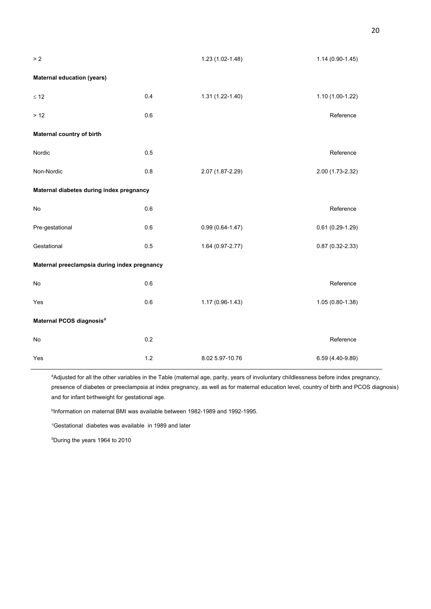| $>2$                                         |     | 1.23 (1.02-1.48)    | $1.14(0.90-1.45)$   |
|----------------------------------------------|-----|---------------------|---------------------|
| <b>Maternal education (years)</b>            |     |                     |                     |
| $\leq 12$                                    | 0.4 | $1.31(1.22 - 1.40)$ | 1.10 (1.00-1.22)    |
| $>12$                                        | 0.6 |                     | Reference           |
| Maternal country of birth                    |     |                     |                     |
| Nordic                                       | 0.5 |                     | Reference           |
| Non-Nordic                                   | 0.8 | 2.07 (1.87-2.29)    | 2.00 (1.73-2.32)    |
| Maternal diabetes during index pregnancy     |     |                     |                     |
| No                                           | 0.6 |                     | Reference           |
| Pre-gestational                              | 0.6 | $0.99(0.64 - 1.47)$ | $0.61(0.29-1.29)$   |
| Gestational                                  | 0.5 | 1.64 (0.97-2.77)    | $0.87(0.32 - 2.33)$ |
| Maternal preeclampsia during index pregnancy |     |                     |                     |
| No                                           | 0.6 |                     | Reference           |
| Yes                                          | 0.6 | 1.17 (0.96-1.43)    | $1.05(0.80-1.38)$   |
| Maternal PCOS diagnosis <sup>d</sup>         |     |                     |                     |
| No                                           | 0.2 |                     | Reference           |
| Yes                                          | 1.2 | 8.02 5.97-10.76     | 6.59 (4.40-9.89)    |

<sup>a</sup>Adjusted for all the other variables in the Table (maternal age, parity, years of involuntary childlessness before index pregnancy, presence of diabetes or preeclampsia at index pregnancy, as well as for maternal education level, country of birth and PCOS diagnosis) and for infant birthweight for gestational age.

b Information on maternal BMI was available between 1982-1989 and 1992-1995.

c Gestational diabetes was available in 1989 and later

d During the years 1964 to 2010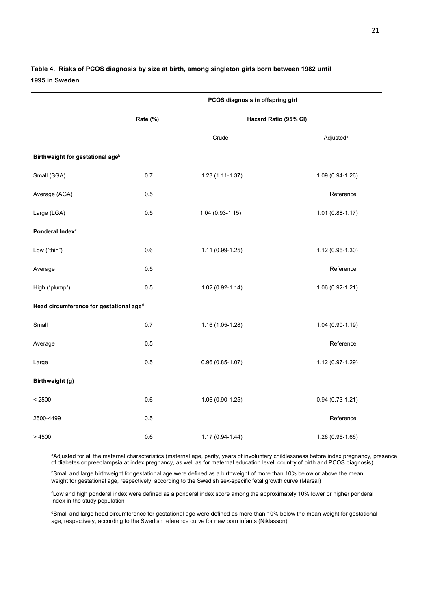#### **Table 4. Risks of PCOS diagnosis by size at birth, among singleton girls born between 1982 until 1995 in Sweden**

|                                              | PCOS diagnosis in offspring girl |                       |                       |  |  |
|----------------------------------------------|----------------------------------|-----------------------|-----------------------|--|--|
|                                              | Rate (%)                         | Hazard Ratio (95% CI) |                       |  |  |
|                                              |                                  | Crude                 | Adjusted <sup>a</sup> |  |  |
| Birthweight for gestational age <sup>b</sup> |                                  |                       |                       |  |  |
| Small (SGA)                                  | 0.7                              | $1.23(1.11-1.37)$     | 1.09 (0.94-1.26)      |  |  |
| Average (AGA)                                | 0.5                              |                       | Reference             |  |  |
| Large (LGA)                                  | 0.5                              | $1.04(0.93 - 1.15)$   | $1.01(0.88 - 1.17)$   |  |  |
| Ponderal Index <sup>c</sup>                  |                                  |                       |                       |  |  |
| Low ("thin")                                 | 0.6                              | 1.11 (0.99-1.25)      | 1.12 (0.96-1.30)      |  |  |
| Average                                      | 0.5                              |                       | Reference             |  |  |
| High ("plump")                               | 0.5                              | $1.02(0.92 - 1.14)$   | 1.06 (0.92-1.21)      |  |  |
| Head circumference for gestational aged      |                                  |                       |                       |  |  |
| Small                                        | 0.7                              | $1.16(1.05-1.28)$     | 1.04 (0.90-1.19)      |  |  |
| Average                                      | 0.5                              |                       | Reference             |  |  |
| Large                                        | 0.5                              | $0.96(0.85-1.07)$     | 1.12 (0.97-1.29)      |  |  |
| Birthweight (g)                              |                                  |                       |                       |  |  |
| < 2500                                       | 0.6                              | 1.06 (0.90-1.25)      | $0.94(0.73-1.21)$     |  |  |
| 2500-4499                                    | 0.5                              |                       | Reference             |  |  |
| $\geq 4500$                                  | 0.6                              | $1.17(0.94 - 1.44)$   | 1.26 (0.96-1.66)      |  |  |

a Adjusted for all the maternal characteristics (maternal age, parity, years of involuntary childlessness before index pregnancy, presence of diabetes or preeclampsia at index pregnancy, as well as for maternal education level, country of birth and PCOS diagnosis).

b Small and large birthweight for gestational age were defined as a birthweight of more than 10% below or above the mean weight for gestational age, respectively, according to the Swedish sex-specific fetal growth curve (Marsal)

c Low and high ponderal index were defined as a ponderal index score among the approximately 10% lower or higher ponderal index in the study population

<sup>d</sup>Small and large head circumference for gestational age were defined as more than 10% below the mean weight for gestational age, respectively, according to the Swedish reference curve for new born infants (Niklasson)